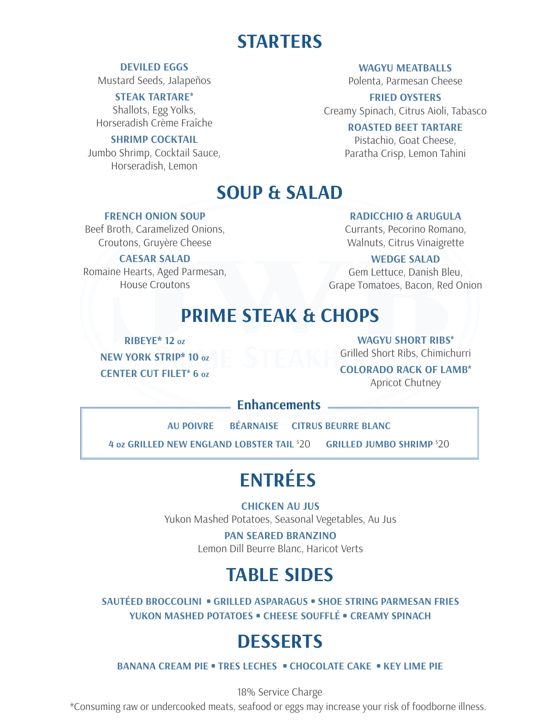## **STARTERS**

#### **DEVILED EGGS**

Mustard Seeds, Jalapeños

#### **STEAK TARTARE\***

Shallots, Egg Yolks, Horseradish Crème Fraîche

#### **SHRIMP COCKTAIL**

Jumbo Shrimp, Cocktail Sauce, Horseradish, Lemon

**WAGYU MEATBALLS** 

Polenta, Parmesan Cheese

**FRIED OYSTERS** Creamy Spinach, Citrus Aioli, Tabasco

#### **ROASTED BEET TARTARE**

Pistachio, Goat Cheese, Paratha Crisp, Lemon Tahini

## **SOUP & SALAD**

#### **FRENCH ONION SOUP**

Beef Broth, Caramelized Onions, Croutons, Gruyère Cheese

#### **CAESAR SALAD**

Romaine Hearts, Aged Parmesan, House Croutons

#### **RADICCHIO & ARUGULA**

Currants, Pecorino Romano, Walnuts, Citrus Vinaigrette

#### **WEDGE SALAD**

Gem Lettuce, Danish Bleu, Grape Tomatoes, Bacon, Red Onion

## **PRIME STEAK & CHOPS**

**RIBEYE\* 12 oz NEW YORK STRIP\* 10 oz CENTER CUT FILET\* 6 oz** **WAGYU SHORT RIBS\***

Grilled Short Ribs, Chimichurri

**COLORADO RACK OF LAMB\*** Apricot Chutney

### **Enhancements**

**AU POIVRE BÉARNAISE CITRUS BEURRE BLANC**

**4 oz GRILLED NEW ENGLAND LOBSTER TAIL** \$ 20 **GRILLED JUMBO SHRIMP** \$ 20

# **ENTRÉES**

**CHICKEN AU JUS** Yukon Mashed Potatoes, Seasonal Vegetables, Au Jus

> **PAN SEARED BRANZINO** Lemon Dill Beurre Blanc, Haricot Verts

## **TABLE SIDES**

**SAUTÉED BROCCOLINI • GRILLED ASPARAGUS • SHOE STRING PARMESAN FRIES YUKON MASHED POTATOES • CHEESE SOUFFLÉ • CREAMY SPINACH**

## **DESSERTS**

**BANANA CREAM PIE • TRES LECHES • CHOCOLATE CAKE • KEY LIME PIE** 

18% Service Charge

\*Consuming raw or undercooked meats, seafood or eggs may increase your risk of foodborne illness.